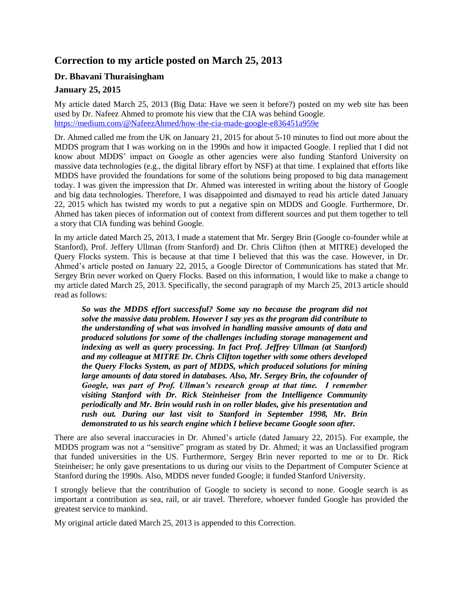# **Correction to my article posted on March 25, 2013**

## **Dr. Bhavani Thuraisingham**

## **January 25, 2015**

My article dated March 25, 2013 (Big Data: Have we seen it before?) posted on my web site has been used by Dr. Nafeez Ahmed to promote his view that the CIA was behind Google. <https://medium.com/@NafeezAhmed/how-the-cia-made-google-e836451a959e>

Dr. Ahmed called me from the UK on January 21, 2015 for about 5-10 minutes to find out more about the MDDS program that I was working on in the 1990s and how it impacted Google. I replied that I did not know about MDDS' impact on Google as other agencies were also funding Stanford University on massive data technologies (e.g., the digital library effort by NSF) at that time. I explained that efforts like MDDS have provided the foundations for some of the solutions being proposed to big data management today. I was given the impression that Dr. Ahmed was interested in writing about the history of Google and big data technologies. Therefore, I was disappointed and dismayed to read his article dated January 22, 2015 which has twisted my words to put a negative spin on MDDS and Google. Furthermore, Dr. Ahmed has taken pieces of information out of context from different sources and put them together to tell a story that CIA funding was behind Google.

In my article dated March 25, 2013, I made a statement that Mr. Sergey Brin (Google co-founder while at Stanford), Prof. Jeffery Ullman (from Stanford) and Dr. Chris Clifton (then at MITRE) developed the Query Flocks system. This is because at that time I believed that this was the case. However, in Dr. Ahmed's article posted on January 22, 2015, a Google Director of Communications has stated that Mr. Sergey Brin never worked on Query Flocks. Based on this information, I would like to make a change to my article dated March 25, 2013. Specifically, the second paragraph of my March 25, 2013 article should read as follows:

*So was the MDDS effort successful? Some say no because the program did not solve the massive data problem. However I say yes as the program did contribute to the understanding of what was involved in handling massive amounts of data and produced solutions for some of the challenges including storage management and indexing as well as query processing. In fact Prof. Jeffrey Ullman (at Stanford) and my colleague at MITRE Dr. Chris Clifton together with some others developed the Query Flocks System, as part of MDDS, which produced solutions for mining*  large amounts of data stored in databases. Also, Mr. Sergey Brin, the cofounder of *Google, was part of Prof. Ullman's research group at that time. I remember visiting Stanford with Dr. Rick Steinheiser from the Intelligence Community periodically and Mr. Brin would rush in on roller blades, give his presentation and rush out. During our last visit to Stanford in September 1998, Mr. Brin demonstrated to us his search engine which I believe became Google soon after.* 

There are also several inaccuracies in Dr. Ahmed's article (dated January 22, 2015). For example, the MDDS program was not a "sensitive" program as stated by Dr. Ahmed; it was an Unclassified program that funded universities in the US. Furthermore, Sergey Brin never reported to me or to Dr. Rick Steinheiser; he only gave presentations to us during our visits to the Department of Computer Science at Stanford during the 1990s. Also, MDDS never funded Google; it funded Stanford University.

I strongly believe that the contribution of Google to society is second to none. Google search is as important a contribution as sea, rail, or air travel. Therefore, whoever funded Google has provided the greatest service to mankind.

My original article dated March 25, 2013 is appended to this Correction.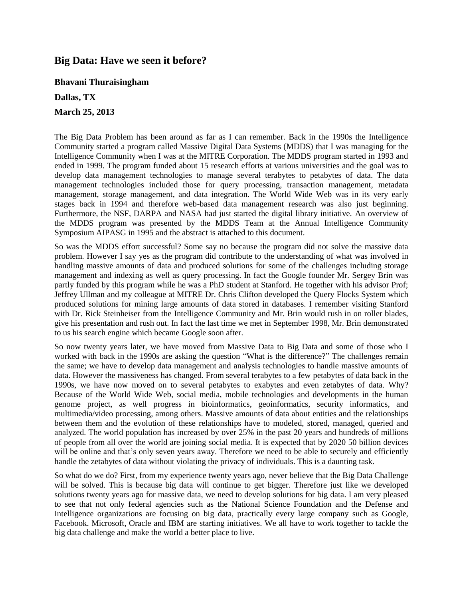## **Big Data: Have we seen it before?**

**Bhavani Thuraisingham**

**Dallas, TX**

**March 25, 2013**

The Big Data Problem has been around as far as I can remember. Back in the 1990s the Intelligence Community started a program called Massive Digital Data Systems (MDDS) that I was managing for the Intelligence Community when I was at the MITRE Corporation. The MDDS program started in 1993 and ended in 1999. The program funded about 15 research efforts at various universities and the goal was to develop data management technologies to manage several terabytes to petabytes of data. The data management technologies included those for query processing, transaction management, metadata management, storage management, and data integration. The World Wide Web was in its very early stages back in 1994 and therefore web-based data management research was also just beginning. Furthermore, the NSF, DARPA and NASA had just started the digital library initiative. An overview of the MDDS program was presented by the MDDS Team at the Annual Intelligence Community Symposium AIPASG in 1995 and the abstract is attached to this document.

So was the MDDS effort successful? Some say no because the program did not solve the massive data problem. However I say yes as the program did contribute to the understanding of what was involved in handling massive amounts of data and produced solutions for some of the challenges including storage management and indexing as well as query processing. In fact the Google founder Mr. Sergey Brin was partly funded by this program while he was a PhD student at Stanford. He together with his advisor Prof; Jeffrey Ullman and my colleague at MITRE Dr. Chris Clifton developed the Query Flocks System which produced solutions for mining large amounts of data stored in databases. I remember visiting Stanford with Dr. Rick Steinheiser from the Intelligence Community and Mr. Brin would rush in on roller blades, give his presentation and rush out. In fact the last time we met in September 1998, Mr. Brin demonstrated to us his search engine which became Google soon after.

So now twenty years later, we have moved from Massive Data to Big Data and some of those who I worked with back in the 1990s are asking the question "What is the difference?" The challenges remain the same; we have to develop data management and analysis technologies to handle massive amounts of data. However the massiveness has changed. From several terabytes to a few petabytes of data back in the 1990s, we have now moved on to several petabytes to exabytes and even zetabytes of data. Why? Because of the World Wide Web, social media, mobile technologies and developments in the human genome project, as well progress in bioinformatics, geoinformatics, security informatics, and multimedia/video processing, among others. Massive amounts of data about entities and the relationships between them and the evolution of these relationships have to modeled, stored, managed, queried and analyzed. The world population has increased by over 25% in the past 20 years and hundreds of millions of people from all over the world are joining social media. It is expected that by 2020 50 billion devices will be online and that's only seven years away. Therefore we need to be able to securely and efficiently handle the zetabytes of data without violating the privacy of individuals. This is a daunting task.

So what do we do? First, from my experience twenty years ago, never believe that the Big Data Challenge will be solved. This is because big data will continue to get bigger. Therefore just like we developed solutions twenty years ago for massive data, we need to develop solutions for big data. I am very pleased to see that not only federal agencies such as the National Science Foundation and the Defense and Intelligence organizations are focusing on big data, practically every large company such as Google, Facebook. Microsoft, Oracle and IBM are starting initiatives. We all have to work together to tackle the big data challenge and make the world a better place to live.